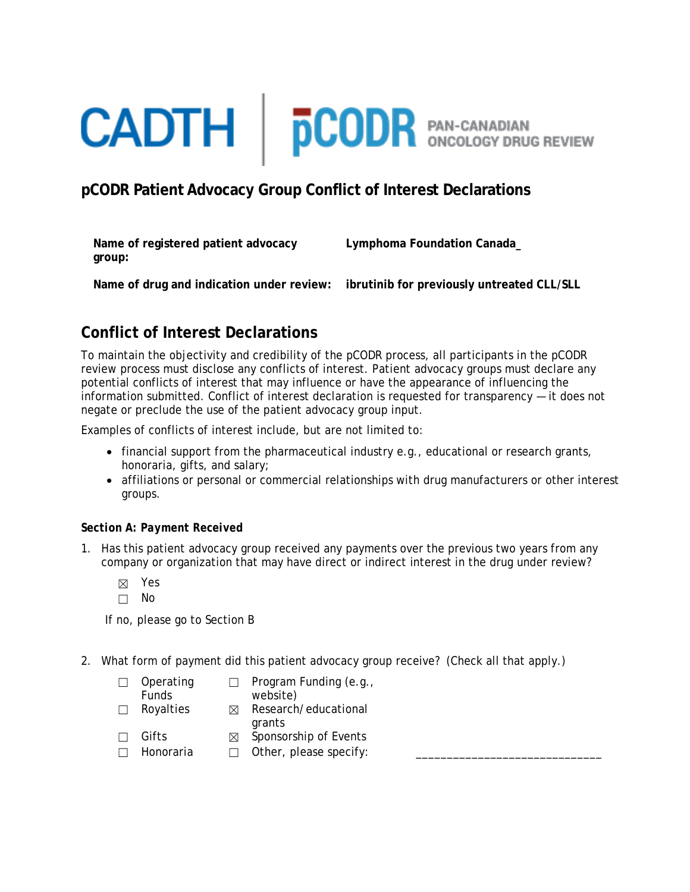# **CADTH** | **pCODR** PAN-CANADIAN

## **pCODR Patient Advocacy Group Conflict of Interest Declarations**

**Name of registered patient advocacy group:**

**Lymphoma Foundation Canada\_**

**Name of drug and indication under review: ibrutinib for previously untreated CLL/SLL**

# **Conflict of Interest Declarations**

To maintain the objectivity and credibility of the pCODR process, all participants in the pCODR review process must disclose any conflicts of interest. Patient advocacy groups must declare any potential conflicts of interest that may influence or have the appearance of influencing the information submitted. Conflict of interest declaration is requested for transparency — it does not negate or preclude the use of the patient advocacy group input.

Examples of conflicts of interest include, but are not limited to:

- financial support from the pharmaceutical industry e.g., educational or research grants, honoraria, gifts, and salary;
- affiliations or personal or commercial relationships with drug manufacturers or other interest groups.

## *Section A: Payment Received*

- 1. Has this patient advocacy group received any payments over the previous two years from any company or organization that may have direct or indirect interest in the drug under review?
	- ☒ Yes
	- ☐ No

If no, please go to Section B

2. What form of payment did this patient advocacy group receive? (Check all that apply.)

| $\Box$ | Operating<br><b>Funds</b> |   | Program Funding (e.g.,<br>website) |
|--------|---------------------------|---|------------------------------------|
| $\Box$ | Royalties                 | M | Research/educational               |

grants

- □ Gifts **I** Sponsorship of Events
- $\Box$  Honoraria  $\Box$  Other, please specify: